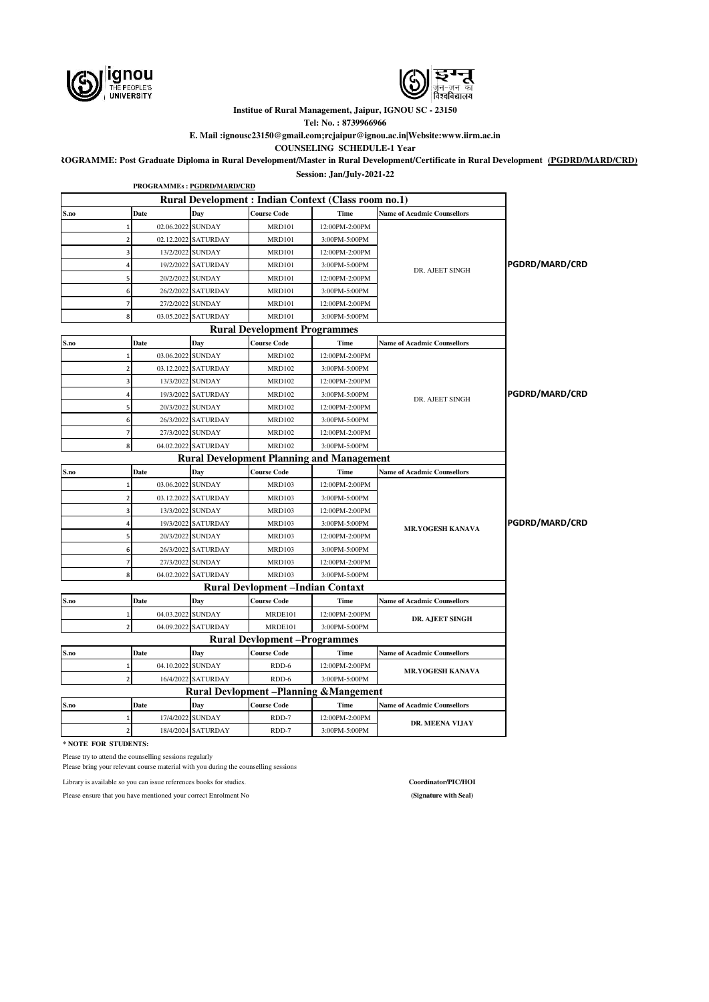



**Institue of Rural Management, Jaipur, IGNOU SC - 23150**

**Tel: No. : 8739966966 E. Mail :ignousc23150@gmail.com;rcjaipur@ignou.ac.in|Website:www.iirm.ac.in**

**COUNSELING SCHEDULE-1 Year**

**PROGRAMME: Post Graduate Diploma in Rural Development/Master in Rural Development/Certificate in Rural Development (PGDRD/MARD/CRD)**

**Session: Jan/July-2021-22**

|                          |                                                               | PROGRAMMEs: PGDRD/MARD/CRD     |                                                      |                |                                    |                |  |
|--------------------------|---------------------------------------------------------------|--------------------------------|------------------------------------------------------|----------------|------------------------------------|----------------|--|
|                          |                                                               |                                | Rural Development : Indian Context (Class room no.1) |                |                                    |                |  |
| S.no                     | Date                                                          | Day                            | <b>Course Code</b>                                   | Time           | <b>Name of Acadmic Counsellors</b> |                |  |
|                          | $\mathbf{1}$                                                  | 02.06.2022 SUNDAY              | <b>MRD101</b>                                        | 12:00PM-2:00PM |                                    |                |  |
|                          | $\overline{2}$                                                | 02.12.2022 SATURDAY            | <b>MRD101</b>                                        | 3:00PM-5:00PM  |                                    |                |  |
|                          | 3                                                             | 13/2/2022 SUNDAY               | <b>MRD101</b>                                        | 12:00PM-2:00PM |                                    |                |  |
|                          | $\Delta$                                                      | 19/2/2022 SATURDAY             | <b>MRD101</b>                                        | 3:00PM-5:00PM  | DR. AJEET SINGH                    | PGDRD/MARD/CRD |  |
|                          | 5                                                             | 20/2/2022 SUNDAY               | <b>MRD101</b>                                        | 12:00PM-2:00PM |                                    |                |  |
|                          | 6                                                             | 26/2/2022 SATURDAY             | <b>MRD101</b>                                        | 3:00PM-5:00PM  |                                    |                |  |
|                          | 7                                                             | 27/2/2022 SUNDAY               | <b>MRD101</b>                                        | 12:00PM-2:00PM |                                    |                |  |
|                          | 8                                                             | 03.05.2022 SATURDAY            | <b>MRD101</b>                                        | 3:00PM-5:00PM  |                                    |                |  |
|                          |                                                               |                                | <b>Rural Development Programmes</b>                  |                |                                    |                |  |
| S.no                     | Date                                                          | Day                            | <b>Course Code</b>                                   | <b>Time</b>    | <b>Name of Acadmic Counsellors</b> |                |  |
|                          | $\mathbf 1$                                                   | 03.06.2022 SUNDAY              | <b>MRD102</b>                                        | 12:00PM-2:00PM |                                    |                |  |
|                          | $\mathbf 2$                                                   | 03.12.2022 SATURDAY            | <b>MRD102</b>                                        | 3:00PM-5:00PM  |                                    |                |  |
|                          | 3                                                             | 13/3/2022 SUNDAY               | <b>MRD102</b>                                        | 12:00PM-2:00PM |                                    |                |  |
|                          | 4                                                             | 19/3/2022 SATURDAY             | <b>MRD102</b>                                        | 3:00PM-5:00PM  | DR. AJEET SINGH                    | PGDRD/MARD/CRD |  |
|                          | 5                                                             | 20/3/2022 SUNDAY               | <b>MRD102</b>                                        | 12:00PM-2:00PM |                                    |                |  |
|                          | 6                                                             | 26/3/2022 SATURDAY             | <b>MRD102</b>                                        | 3:00PM-5:00PM  |                                    |                |  |
|                          | $\overline{7}$                                                | 27/3/2022 SUNDAY               | <b>MRD102</b>                                        | 12:00PM-2:00PM |                                    |                |  |
| 04.02.2022 SATURDAY<br>8 |                                                               | 3:00PM-5:00PM<br><b>MRD102</b> |                                                      |                |                                    |                |  |
|                          |                                                               |                                | <b>Rural Development Planning and Management</b>     |                |                                    |                |  |
| S.no                     | Date                                                          | Day                            | <b>Course Code</b>                                   | Time           | <b>Name of Acadmic Counsellors</b> |                |  |
|                          | 1                                                             | 03.06.2022 SUNDAY              | <b>MRD103</b>                                        | 12:00PM-2:00PM |                                    |                |  |
|                          | $\overline{2}$                                                | 03.12.2022 SATURDAY            | <b>MRD103</b>                                        | 3:00PM-5:00PM  |                                    |                |  |
|                          | 3                                                             | 13/3/2022 SUNDAY               | <b>MRD103</b>                                        | 12:00PM-2:00PM |                                    |                |  |
|                          |                                                               | 19/3/2022 SATURDAY             | <b>MRD103</b>                                        | 3:00PM-5:00PM  | <b>MR.YOGESH KANAVA</b>            | PGDRD/MARD/CRD |  |
|                          | 5                                                             | 20/3/2022 SUNDAY               | <b>MRD103</b>                                        | 12:00PM-2:00PM |                                    |                |  |
|                          | 6                                                             | 26/3/2022 SATURDAY             | <b>MRD103</b>                                        | 3:00PM-5:00PM  |                                    |                |  |
|                          | $\overline{7}$                                                | 27/3/2022 SUNDAY               | <b>MRD103</b>                                        | 12:00PM-2:00PM |                                    |                |  |
|                          | 8                                                             | 04.02.2022 SATURDAY            | <b>MRD103</b>                                        | 3:00PM-5:00PM  |                                    |                |  |
|                          |                                                               |                                | <b>Rural Devlopment -Indian Contaxt</b>              |                |                                    |                |  |
| S.no                     | Date                                                          | Day                            | <b>Course Code</b>                                   | Time           | <b>Name of Acadmic Counsellors</b> |                |  |
|                          | 1                                                             | 04.03.2022 SUNDAY              | MRDE101                                              | 12:00PM-2:00PM | DR. AJEET SINGH                    |                |  |
|                          | $\overline{2}$                                                | 04.09.2022 SATURDAY            | MRDE101                                              | 3:00PM-5:00PM  |                                    |                |  |
|                          |                                                               |                                | <b>Rural Devlopment -Programmes</b>                  |                |                                    |                |  |
| S.no                     | Date                                                          | Day                            | <b>Course Code</b>                                   | Time           | <b>Name of Acadmic Counsellors</b> |                |  |
|                          | $\mathbf{1}$                                                  | 04.10.2022 SUNDAY              | RDD-6                                                | 12:00PM-2:00PM | <b>MR.YOGESH KANAVA</b>            |                |  |
|                          | 16/4/2022 SATURDAY<br>3:00PM-5:00PM<br>RDD-6<br>$\mathcal{P}$ |                                |                                                      |                |                                    |                |  |
|                          |                                                               |                                | <b>Rural Devlopment-Planning &amp; Mangement</b>     |                |                                    |                |  |
| S.no                     | Date                                                          | Day                            | <b>Course Code</b>                                   | Time           | <b>Name of Acadmic Counsellors</b> |                |  |
|                          | $\mathbf{1}$                                                  | 17/4/2022 SUNDAY               | RDD-7                                                | 12:00PM-2:00PM | DR. MEENA VIJAY                    |                |  |
|                          | $\overline{2}$                                                | 18/4/2024 SATURDAY             | RDD-7                                                | 3:00PM-5:00PM  |                                    |                |  |

**\* NOTE FOR STUDENTS:**

Please try to attend the counselling sessions regularly

Please bring your relevant course material with you during the counselling sessions

Library is available so you can issue references books for studies. **Coordinator/PIC/HOI**

Please ensure that you have mentioned your correct Enrolment No **(Signature with Seal)** (Signature with Seal)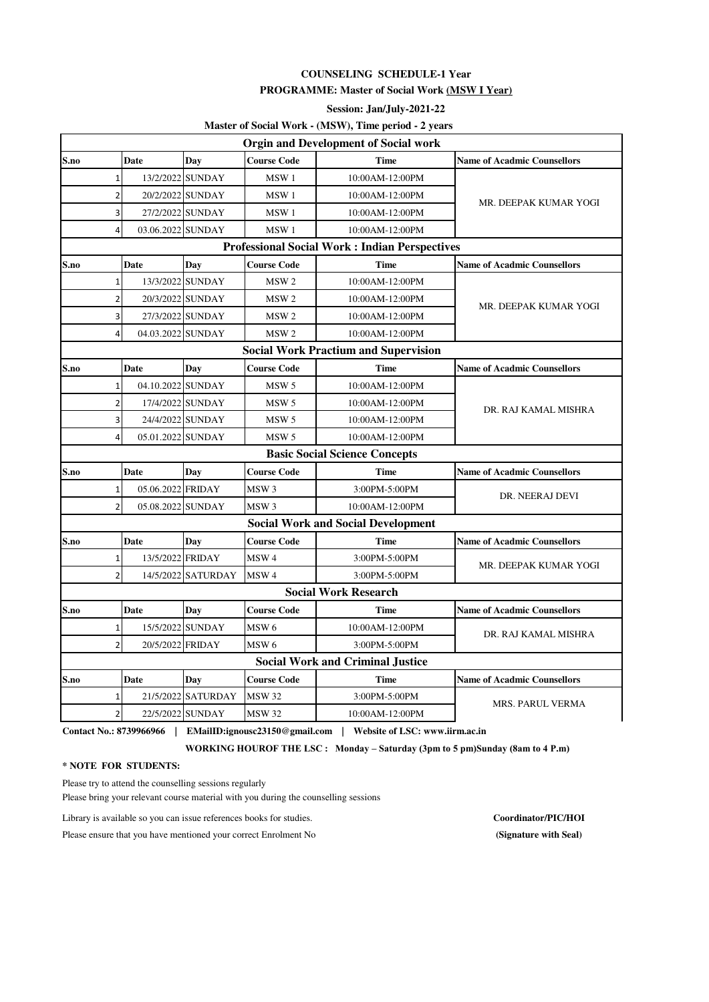## **COUNSELING SCHEDULE-1 Year PROGRAMME: Master of Social Work (MSW I Year)**

**Session: Jan/July-2021-22**

# **Master of Social Work - (MSW), Time period - 2 years**

| <b>Orgin and Development of Social work</b> |                |                   |                    |                    |                                                      |                                    |  |
|---------------------------------------------|----------------|-------------------|--------------------|--------------------|------------------------------------------------------|------------------------------------|--|
| S.no                                        |                | <b>Date</b>       | Day                | <b>Course Code</b> | <b>Time</b>                                          | <b>Name of Acadmic Counsellors</b> |  |
|                                             | 1              |                   | 13/2/2022 SUNDAY   | MSW1               | 10:00 AM-12:00 PM                                    |                                    |  |
|                                             | $\overline{2}$ |                   | 20/2/2022 SUNDAY   | MSW1               | 10:00AM-12:00PM                                      | MR. DEEPAK KUMAR YOGI              |  |
|                                             | 3              |                   | 27/2/2022 SUNDAY   | MSW <sub>1</sub>   | 10:00AM-12:00PM                                      |                                    |  |
|                                             | $\overline{4}$ | 03.06.2022 SUNDAY |                    | MSW1               | 10:00AM-12:00PM                                      |                                    |  |
|                                             |                |                   |                    |                    | <b>Professional Social Work: Indian Perspectives</b> |                                    |  |
| S.no                                        |                | Date              | Day                | <b>Course Code</b> | <b>Time</b>                                          | <b>Name of Acadmic Counsellors</b> |  |
|                                             | $\mathbf{1}$   |                   | 13/3/2022 SUNDAY   | MSW <sub>2</sub>   | 10:00AM-12:00PM                                      | MR. DEEPAK KUMAR YOGI              |  |
|                                             | $\overline{2}$ |                   | 20/3/2022 SUNDAY   | MSW <sub>2</sub>   | 10:00AM-12:00PM                                      |                                    |  |
|                                             | 3              |                   | 27/3/2022 SUNDAY   | MSW <sub>2</sub>   | 10:00AM-12:00PM                                      |                                    |  |
|                                             | 4              | 04.03.2022 SUNDAY |                    | MSW <sub>2</sub>   | 10:00AM-12:00PM                                      |                                    |  |
|                                             |                |                   |                    |                    | <b>Social Work Practium and Supervision</b>          |                                    |  |
| S.no                                        |                | Date              | Day                | <b>Course Code</b> | <b>Time</b>                                          | <b>Name of Acadmic Counsellors</b> |  |
|                                             | 1              | 04.10.2022 SUNDAY |                    | MSW <sub>5</sub>   | 10:00AM-12:00PM                                      |                                    |  |
|                                             | $\overline{2}$ |                   | 17/4/2022 SUNDAY   | MSW <sub>5</sub>   | 10:00AM-12:00PM                                      | DR. RAJ KAMAL MISHRA               |  |
|                                             | 3              |                   | 24/4/2022 SUNDAY   | MSW <sub>5</sub>   | 10:00AM-12:00PM                                      |                                    |  |
|                                             | 4              | 05.01.2022 SUNDAY |                    | MSW <sub>5</sub>   | 10:00AM-12:00PM                                      |                                    |  |
|                                             |                |                   |                    |                    | <b>Basic Social Science Concepts</b>                 |                                    |  |
| S.no                                        |                | Date              | Day                | <b>Course Code</b> | <b>Time</b>                                          | <b>Name of Acadmic Counsellors</b> |  |
|                                             | 1              | 05.06.2022 FRIDAY |                    | MSW <sub>3</sub>   | 3:00PM-5:00PM                                        | DR. NEERAJ DEVI                    |  |
|                                             | $\overline{2}$ | 05.08.2022 SUNDAY |                    | MSW <sub>3</sub>   | 10:00AM-12:00PM                                      |                                    |  |
|                                             |                |                   |                    |                    | <b>Social Work and Social Development</b>            |                                    |  |
| S.no                                        |                | <b>Date</b>       | Day                | <b>Course Code</b> | <b>Time</b>                                          | <b>Name of Acadmic Counsellors</b> |  |
|                                             | $\mathbf 1$    | 13/5/2022 FRIDAY  |                    | MSW <sub>4</sub>   | 3:00PM-5:00PM                                        | MR. DEEPAK KUMAR YOGI              |  |
|                                             | $\overline{2}$ |                   | 14/5/2022 SATURDAY | MSW <sub>4</sub>   | 3:00PM-5:00PM                                        |                                    |  |
|                                             |                |                   |                    |                    | <b>Social Work Research</b>                          |                                    |  |
| S.no                                        |                | Date              | Day                | <b>Course Code</b> | <b>Time</b>                                          | <b>Name of Acadmic Counsellors</b> |  |
|                                             | 1              |                   | 15/5/2022 SUNDAY   | MSW 6              | 10:00 AM-12:00 PM                                    | DR. RAJ KAMAL MISHRA               |  |
|                                             | $\overline{2}$ | 20/5/2022 FRIDAY  |                    | MSW 6              | 3:00PM-5:00PM                                        |                                    |  |
|                                             |                |                   |                    |                    | <b>Social Work and Criminal Justice</b>              |                                    |  |
| S.no                                        |                | <b>Date</b>       | Dav                | <b>Course Code</b> | <b>Time</b>                                          | <b>Name of Acadmic Counsellors</b> |  |
|                                             | 1              |                   | 21/5/2022 SATURDAY | <b>MSW 32</b>      | 3:00PM-5:00PM                                        | MRS. PARUL VERMA                   |  |
|                                             | $\overline{2}$ |                   | 22/5/2022 SUNDAY   | <b>MSW 32</b>      | 10:00AM-12:00PM                                      |                                    |  |

**Contact No.: 8739966966 | EMailID:ignousc23150@gmail.com | Website of LSC: www.iirm.ac.in**

 **WORKING HOUROF THE LSC : Monday – Saturday (3pm to 5 pm)Sunday (8am to 4 P.m)**

#### **\* NOTE FOR STUDENTS:**

Please try to attend the counselling sessions regularly

Please bring your relevant course material with you during the counselling sessions

Library is available so you can issue references books for studies. **Coordinator/PIC/HOI**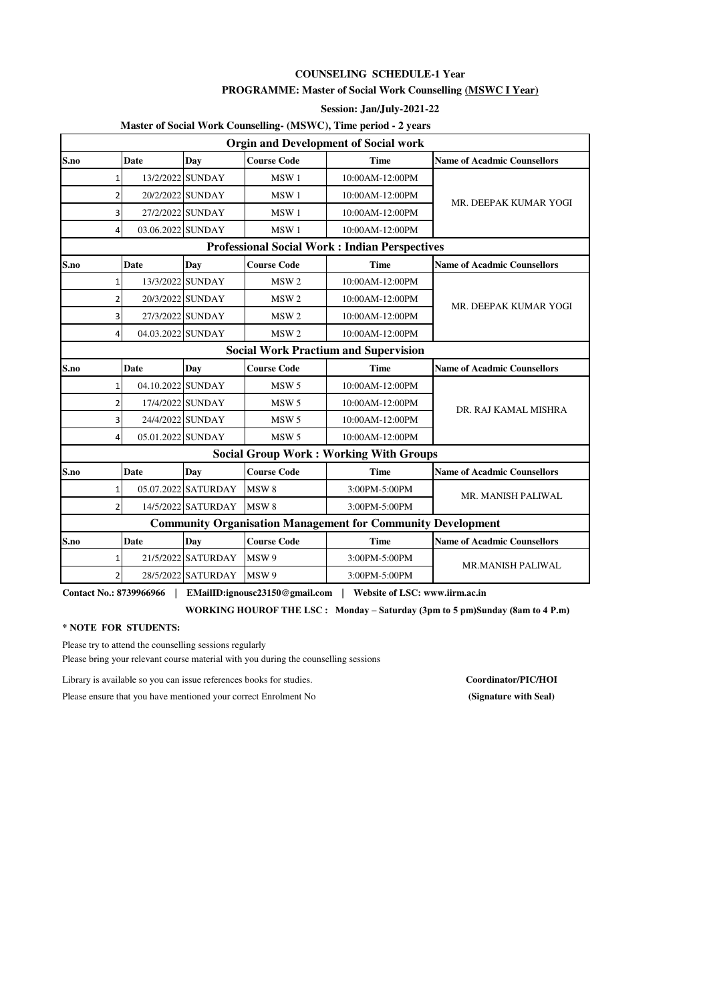## **COUNSELING SCHEDULE-1 Year**

### **PROGRAMME: Master of Social Work Counselling (MSWC I Year)**

#### **Session: Jan/July-2021-22**

# **Master of Social Work Counselling- (MSWC), Time period - 2 years**

|                |                   |                     |                    | <b>Orgin and Development of Social work</b>                        |                                    |  |
|----------------|-------------------|---------------------|--------------------|--------------------------------------------------------------------|------------------------------------|--|
| S.no           | <b>Date</b>       | Day                 | <b>Course Code</b> | <b>Time</b>                                                        | <b>Name of Acadmic Counsellors</b> |  |
| 1              |                   | 13/2/2022 SUNDAY    | MSW <sub>1</sub>   | 10:00AM-12:00PM                                                    |                                    |  |
| $\overline{2}$ |                   | 20/2/2022 SUNDAY    | MSW1               | 10:00AM-12:00PM                                                    | MR. DEEPAK KUMAR YOGI              |  |
| $\overline{3}$ |                   | 27/2/2022 SUNDAY    | MSW <sub>1</sub>   | 10:00AM-12:00PM                                                    |                                    |  |
| $\overline{4}$ | 03.06.2022 SUNDAY |                     | MSW <sub>1</sub>   | 10:00AM-12:00PM                                                    |                                    |  |
|                |                   |                     |                    | <b>Professional Social Work: Indian Perspectives</b>               |                                    |  |
| S.no           | Date              | Day                 | <b>Course Code</b> | <b>Time</b>                                                        | <b>Name of Acadmic Counsellors</b> |  |
| 1              |                   | 13/3/2022 SUNDAY    | MSW <sub>2</sub>   | 10:00AM-12:00PM                                                    |                                    |  |
| $\overline{2}$ |                   | 20/3/2022 SUNDAY    | MSW <sub>2</sub>   | 10:00AM-12:00PM                                                    | MR. DEEPAK KUMAR YOGI              |  |
| $\overline{3}$ |                   | 27/3/2022 SUNDAY    | MSW <sub>2</sub>   | 10:00AM-12:00PM                                                    |                                    |  |
| $\overline{4}$ | 04.03.2022 SUNDAY |                     | MSW <sub>2</sub>   | 10:00AM-12:00PM                                                    |                                    |  |
|                |                   |                     |                    | <b>Social Work Practium and Supervision</b>                        |                                    |  |
| S.no           | Date              | Day                 | <b>Course Code</b> | <b>Time</b>                                                        | <b>Name of Acadmic Counsellors</b> |  |
|                |                   |                     |                    |                                                                    |                                    |  |
| $\mathbf{1}$   | 04.10.2022 SUNDAY |                     | MSW <sub>5</sub>   | 10:00AM-12:00PM                                                    |                                    |  |
| 2              |                   | 17/4/2022 SUNDAY    | MSW <sub>5</sub>   | 10:00AM-12:00PM                                                    |                                    |  |
| 3              |                   | 24/4/2022 SUNDAY    | MSW <sub>5</sub>   | 10:00AM-12:00PM                                                    | DR. RAJ KAMAL MISHRA               |  |
| $\overline{a}$ | 05.01.2022 SUNDAY |                     | MSW <sub>5</sub>   | 10:00AM-12:00PM                                                    |                                    |  |
|                |                   |                     |                    | <b>Social Group Work: Working With Groups</b>                      |                                    |  |
| S.no           | <b>Date</b>       | Day                 | <b>Course Code</b> | <b>Time</b>                                                        | <b>Name of Acadmic Counsellors</b> |  |
| $\mathbf{1}$   |                   | 05.07.2022 SATURDAY | MSW <sub>8</sub>   | 3:00PM-5:00PM                                                      |                                    |  |
| $\overline{2}$ |                   | 14/5/2022 SATURDAY  | MSW <sub>8</sub>   | 3:00PM-5:00PM                                                      | MR. MANISH PALIWAL                 |  |
|                |                   |                     |                    | <b>Community Organisation Management for Community Development</b> |                                    |  |
| S.no           | <b>Date</b>       | <b>Day</b>          | <b>Course Code</b> | <b>Time</b>                                                        | <b>Name of Acadmic Counsellors</b> |  |
| $\mathbf{1}$   |                   | 21/5/2022 SATURDAY  | MSW 9              | 3:00PM-5:00PM                                                      | <b>MR.MANISH PALIWAL</b>           |  |

**Contact No.: 8739966966 | EMailID:ignousc23150@gmail.com | Website of LSC: www.iirm.ac.in**

 **WORKING HOUROF THE LSC : Monday – Saturday (3pm to 5 pm)Sunday (8am to 4 P.m)**

#### **\* NOTE FOR STUDENTS:**

Please try to attend the counselling sessions regularly

Please bring your relevant course material with you during the counselling sessions

Library is available so you can issue references books for studies. **Coordinator/PIC/HOI**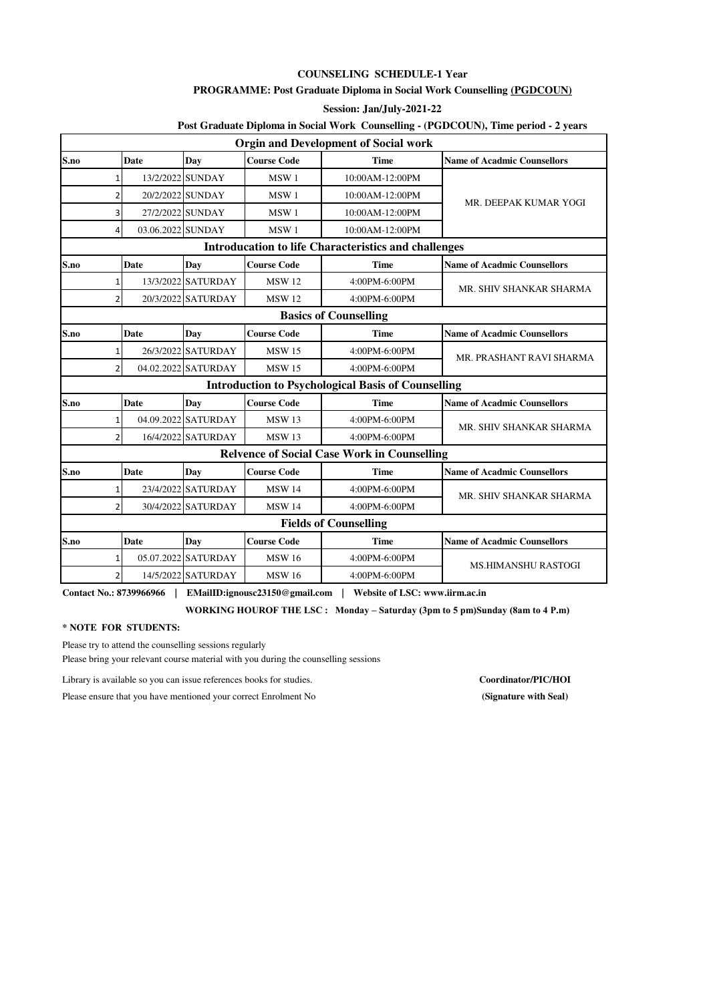#### **COUNSELING SCHEDULE-1 Year**

#### **PROGRAMME: Post Graduate Diploma in Social Work Counselling (PGDCOUN)**

**Session: Jan/July-2021-22**

# **Post Graduate Diploma in Social Work Counselling - (PGDCOUN), Time period - 2 years**

|                                                    |                              |                     |                    | <b>Orgin and Development of Social work</b>                 |                                    |  |  |  |  |
|----------------------------------------------------|------------------------------|---------------------|--------------------|-------------------------------------------------------------|------------------------------------|--|--|--|--|
| S.no                                               | <b>Date</b>                  | Day                 | <b>Course Code</b> | <b>Time</b>                                                 | <b>Name of Acadmic Counsellors</b> |  |  |  |  |
| $\mathbf{1}$                                       |                              | 13/2/2022 SUNDAY    | MSW <sub>1</sub>   | 10:00AM-12:00PM                                             |                                    |  |  |  |  |
| 2                                                  |                              | 20/2/2022 SUNDAY    | MSW <sub>1</sub>   | 10:00AM-12:00PM                                             | MR. DEEPAK KUMAR YOGI              |  |  |  |  |
|                                                    | 27/2/2022 SUNDAY<br>3        |                     | MSW <sub>1</sub>   | 10:00AM-12:00PM                                             |                                    |  |  |  |  |
| $\overline{4}$                                     | 03.06.2022 SUNDAY            |                     | MSW <sub>1</sub>   | 10:00AM-12:00PM                                             |                                    |  |  |  |  |
|                                                    |                              |                     |                    | <b>Introducation to life Characteristics and challenges</b> |                                    |  |  |  |  |
| S.no                                               | <b>Date</b>                  | <b>Day</b>          | <b>Course Code</b> | <b>Time</b>                                                 | <b>Name of Acadmic Counsellors</b> |  |  |  |  |
| 1                                                  |                              | 13/3/2022 SATURDAY  | <b>MSW12</b>       | 4:00PM-6:00PM                                               | MR. SHIV SHANKAR SHARMA            |  |  |  |  |
| $\overline{2}$                                     |                              | 20/3/2022 SATURDAY  | <b>MSW 12</b>      | 4:00PM-6:00PM                                               |                                    |  |  |  |  |
|                                                    | <b>Basics of Counselling</b> |                     |                    |                                                             |                                    |  |  |  |  |
| S.no                                               | <b>Date</b>                  | Day                 | <b>Course Code</b> | <b>Time</b>                                                 | <b>Name of Acadmic Counsellors</b> |  |  |  |  |
| 1                                                  |                              | 26/3/2022 SATURDAY  | <b>MSW 15</b>      | 4:00PM-6:00PM                                               | MR. PRASHANT RAVI SHARMA           |  |  |  |  |
| $\overline{2}$                                     |                              | 04.02.2022 SATURDAY | <b>MSW15</b>       | 4:00PM-6:00PM                                               |                                    |  |  |  |  |
|                                                    |                              |                     |                    | <b>Introduction to Psychological Basis of Counselling</b>   |                                    |  |  |  |  |
| S.no                                               | <b>Date</b>                  | Day                 | <b>Course Code</b> | <b>Time</b>                                                 | <b>Name of Acadmic Counsellors</b> |  |  |  |  |
| $1\overline{ }$                                    |                              | 04.09.2022 SATURDAY | <b>MSW 13</b>      | 4:00PM-6:00PM                                               | MR. SHIV SHANKAR SHARMA            |  |  |  |  |
| $\overline{2}$                                     |                              | 16/4/2022 SATURDAY  | <b>MSW13</b>       | 4:00PM-6:00PM                                               |                                    |  |  |  |  |
| <b>Relvence of Social Case Work in Counselling</b> |                              |                     |                    |                                                             |                                    |  |  |  |  |
| S.no                                               | <b>Date</b>                  | Day                 | <b>Course Code</b> | <b>Time</b>                                                 | <b>Name of Acadmic Counsellors</b> |  |  |  |  |
| 1                                                  |                              | 23/4/2022 SATURDAY  | <b>MSW 14</b>      | 4:00PM-6:00PM                                               | MR. SHIV SHANKAR SHARMA            |  |  |  |  |
| $\overline{2}$                                     |                              | 30/4/2022 SATURDAY  | <b>MSW 14</b>      | 4:00PM-6:00PM                                               |                                    |  |  |  |  |
|                                                    |                              |                     |                    | <b>Fields of Counselling</b>                                |                                    |  |  |  |  |
| S.no                                               | <b>Date</b>                  | Day                 | <b>Course Code</b> | <b>Time</b>                                                 | <b>Name of Acadmic Counsellors</b> |  |  |  |  |
| 1                                                  |                              | 05.07.2022 SATURDAY | <b>MSW16</b>       | 4:00PM-6:00PM                                               | <b>MS.HIMANSHU RASTOGI</b>         |  |  |  |  |
| 2                                                  |                              | 14/5/2022 SATURDAY  | <b>MSW 16</b>      | 4:00PM-6:00PM                                               |                                    |  |  |  |  |

**Contact No.: 8739966966 | EMailID:ignousc23150@gmail.com | Website of LSC: www.iirm.ac.in**

 **WORKING HOUROF THE LSC : Monday – Saturday (3pm to 5 pm)Sunday (8am to 4 P.m)**

**\* NOTE FOR STUDENTS:**

Please try to attend the counselling sessions regularly

Please bring your relevant course material with you during the counselling sessions

Library is available so you can issue references books for studies. **Coordinator/PIC/HOI**